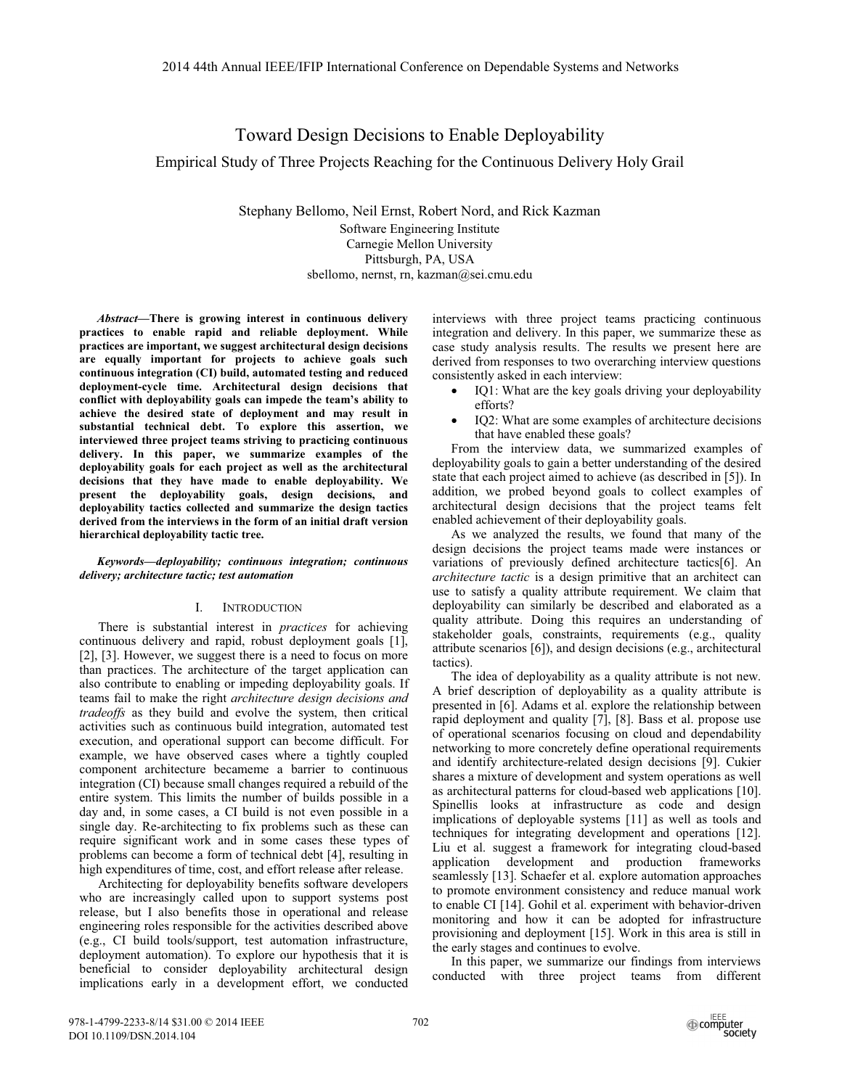# Toward Design Decisions to Enable Deployability Empirical Study of Three Projects Reaching for the Continuous Delivery Holy Grail

Stephany Bellomo, Neil Ernst, Robert Nord, and Rick Kazman

Software Engineering Institute Carnegie Mellon University Pittsburgh, PA, USA sbellomo, nernst, rn, kazman@sei.cmu.edu

*Abstract***—There is growing interest in continuous delivery practices to enable rapid and reliable deployment. While practices are important, we suggest architectural design decisions are equally important for projects to achieve goals such continuous integration (CI) build, automated testing and reduced deployment-cycle time. Architectural design decisions that conflict with deployability goals can impede the team's ability to achieve the desired state of deployment and may result in substantial technical debt. To explore this assertion, we interviewed three project teams striving to practicing continuous delivery. In this paper, we summarize examples of the deployability goals for each project as well as the architectural decisions that they have made to enable deployability. We present the deployability goals, design decisions, and deployability tactics collected and summarize the design tactics derived from the interviews in the form of an initial draft version hierarchical deployability tactic tree.**

*Keywords—deployability; continuous integration; continuous delivery; architecture tactic; test automation* 

# I. INTRODUCTION

There is substantial interest in *practices* for achieving continuous delivery and rapid, robust deployment goals [1], [2], [3]. However, we suggest there is a need to focus on more than practices. The architecture of the target application can also contribute to enabling or impeding deployability goals. If teams fail to make the right *architecture design decisions and tradeoffs* as they build and evolve the system, then critical activities such as continuous build integration, automated test execution, and operational support can become difficult. For example, we have observed cases where a tightly coupled component architecture becameme a barrier to continuous integration (CI) because small changes required a rebuild of the entire system. This limits the number of builds possible in a day and, in some cases, a CI build is not even possible in a single day. Re-architecting to fix problems such as these can require significant work and in some cases these types of problems can become a form of technical debt [4], resulting in high expenditures of time, cost, and effort release after release.

Architecting for deployability benefits software developers who are increasingly called upon to support systems post release, but I also benefits those in operational and release engineering roles responsible for the activities described above (e.g., CI build tools/support, test automation infrastructure, deployment automation). To explore our hypothesis that it is beneficial to consider deployability architectural design implications early in a development effort, we conducted

interviews with three project teams practicing continuous integration and delivery. In this paper, we summarize these as case study analysis results. The results we present here are derived from responses to two overarching interview questions consistently asked in each interview:

- - IQ1: What are the key goals driving your deployability efforts?
- - IQ2: What are some examples of architecture decisions that have enabled these goals?

From the interview data, we summarized examples of deployability goals to gain a better understanding of the desired state that each project aimed to achieve (as described in [5]). In addition, we probed beyond goals to collect examples of architectural design decisions that the project teams felt enabled achievement of their deployability goals.

As we analyzed the results, we found that many of the design decisions the project teams made were instances or variations of previously defined architecture tactics[6]. An *architecture tactic* is a design primitive that an architect can use to satisfy a quality attribute requirement. We claim that deployability can similarly be described and elaborated as a quality attribute. Doing this requires an understanding of stakeholder goals, constraints, requirements (e.g., quality attribute scenarios [6]), and design decisions (e.g., architectural tactics).

The idea of deployability as a quality attribute is not new. A brief description of deployability as a quality attribute is presented in [6]. Adams et al. explore the relationship between rapid deployment and quality [7], [8]. Bass et al. propose use of operational scenarios focusing on cloud and dependability networking to more concretely define operational requirements and identify architecture-related design decisions [9]. Cukier shares a mixture of development and system operations as well as architectural patterns for cloud-based web applications [10]. Spinellis looks at infrastructure as code and design implications of deployable systems [11] as well as tools and techniques for integrating development and operations [12]. Liu et al. suggest a framework for integrating cloud-based application development and production frameworks seamlessly [13]. Schaefer et al. explore automation approaches to promote environment consistency and reduce manual work to enable CI [14]. Gohil et al. experiment with behavior-driven monitoring and how it can be adopted for infrastructure provisioning and deployment [15]. Work in this area is still in the early stages and continues to evolve.

In this paper, we summarize our findings from interviews conducted with three project teams from different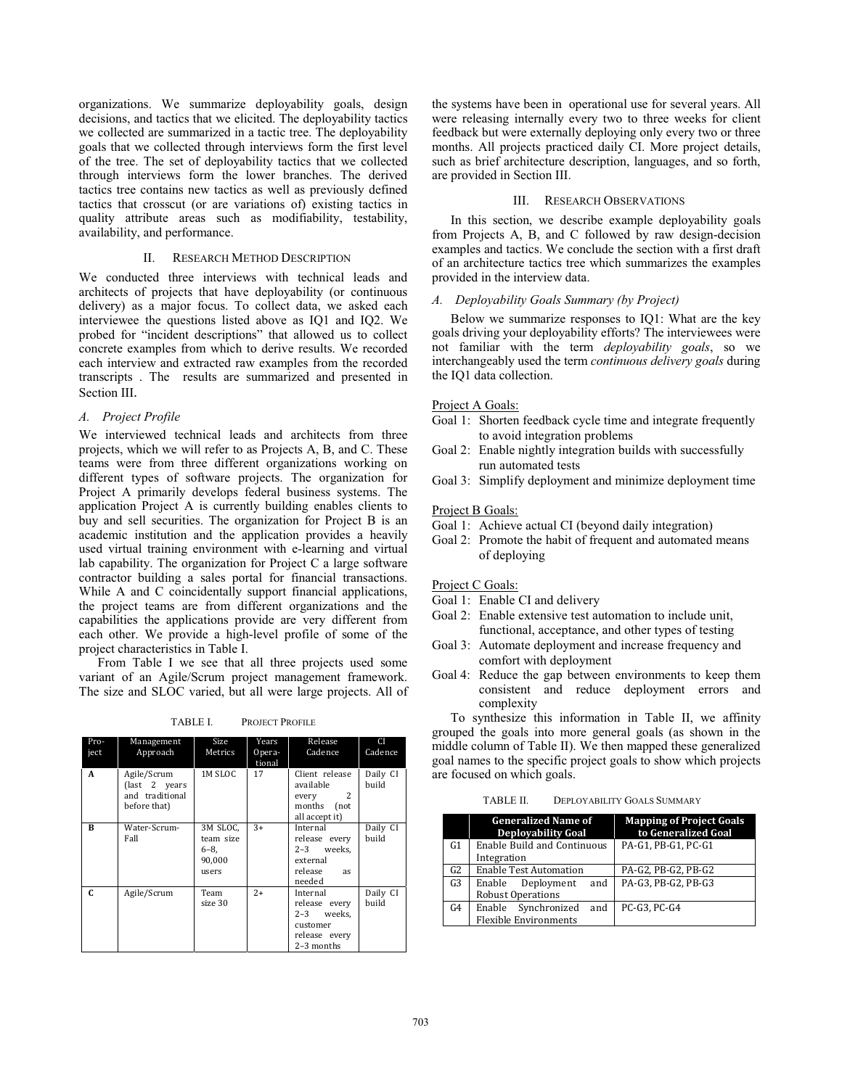organizations. We summarize deployability goals, design decisions, and tactics that we elicited. The deployability tactics we collected are summarized in a tactic tree. The deployability goals that we collected through interviews form the first level of the tree. The set of deployability tactics that we collected through interviews form the lower branches. The derived tactics tree contains new tactics as well as previously defined tactics that crosscut (or are variations of) existing tactics in quality attribute areas such as modifiability, testability, availability, and performance.

## II. RESEARCH METHOD DESCRIPTION

We conducted three interviews with technical leads and architects of projects that have deployability (or continuous delivery) as a major focus. To collect data, we asked each interviewee the questions listed above as IQ1 and IQ2. We probed for "incident descriptions" that allowed us to collect concrete examples from which to derive results. We recorded each interview and extracted raw examples from the recorded transcripts . The results are summarized and presented in Section III.

## *A. Project Profile*

We interviewed technical leads and architects from three projects, which we will refer to as Projects A, B, and C. These teams were from three different organizations working on different types of software projects. The organization for Project A primarily develops federal business systems. The application Project A is currently building enables clients to buy and sell securities. The organization for Project B is an academic institution and the application provides a heavily used virtual training environment with e-learning and virtual lab capability. The organization for Project C a large software contractor building a sales portal for financial transactions. While A and C coincidentally support financial applications, the project teams are from different organizations and the capabilities the applications provide are very different from each other. We provide a high-level profile of some of the project characteristics in Table I.

From Table I we see that all three projects used some variant of an Agile/Scrum project management framework. The size and SLOC varied, but all were large projects. All of

TABLE I. PROJECT PROFILE

| Pro-<br>ject | Management<br>Approach                                          | Size<br>Metrics                                      | Years<br>Opera-<br>tional | Release<br>Cadence                                                                           | CI<br>Cadence     |
|--------------|-----------------------------------------------------------------|------------------------------------------------------|---------------------------|----------------------------------------------------------------------------------------------|-------------------|
| A            | Agile/Scrum<br>(last 2 years<br>and traditional<br>before that) | 1M SLOC                                              | 17                        | Client release<br>available<br>$\mathcal{L}$<br>every<br>months<br>(not<br>all accept it)    | Daily CI<br>build |
| B            | Water-Scrum-<br>Fall                                            | 3M SLOC,<br>team size<br>$6 - 8.$<br>90.000<br>users | $3+$                      | Internal<br>release every<br>weeks.<br>$2 - 3$<br>external<br>release<br><b>as</b><br>needed | Daily CI<br>build |
| C            | Agile/Scrum                                                     | Team<br>size 30                                      | $2+$                      | Internal<br>release every<br>$2 - 3$<br>weeks,<br>customer<br>release every<br>$2-3$ months  | Daily CI<br>build |

the systems have been in operational use for several years. All were releasing internally every two to three weeks for client feedback but were externally deploying only every two or three months. All projects practiced daily CI. More project details, such as brief architecture description, languages, and so forth, are provided in Section III.

# III. RESEARCH OBSERVATIONS

In this section, we describe example deployability goals from Projects A, B, and C followed by raw design-decision examples and tactics. We conclude the section with a first draft of an architecture tactics tree which summarizes the examples provided in the interview data.

## *A. Deployability Goals Summary (by Project)*

Below we summarize responses to IQ1: What are the key goals driving your deployability efforts? The interviewees were not familiar with the term *deployability goals*, so we interchangeably used the term *continuous delivery goals* during the IQ1 data collection.

# Project A Goals:

- Goal 1: Shorten feedback cycle time and integrate frequently to avoid integration problems
- Goal 2: Enable nightly integration builds with successfully run automated tests
- Goal 3: Simplify deployment and minimize deployment time

## Project B Goals:

- Goal 1: Achieve actual CI (beyond daily integration)
- Goal 2: Promote the habit of frequent and automated means of deploying

# Project C Goals:

- Goal 1: Enable CI and delivery
- Goal 2: Enable extensive test automation to include unit, functional, acceptance, and other types of testing
- Goal 3: Automate deployment and increase frequency and comfort with deployment
- Goal 4: Reduce the gap between environments to keep them consistent and reduce deployment errors and complexity

To synthesize this information in Table II, we affinity grouped the goals into more general goals (as shown in the middle column of Table II). We then mapped these generalized goal names to the specific project goals to show which projects are focused on which goals.

TABLE II. DEPLOYABILITY GOALS SUMMARY

|    | <b>Generalized Name of</b><br><b>Deployability Goal</b> | <b>Mapping of Project Goals</b><br>to Generalized Goal |  |  |
|----|---------------------------------------------------------|--------------------------------------------------------|--|--|
| G1 | <b>Enable Build and Continuous</b>                      | PA-G1. PB-G1. PC-G1                                    |  |  |
|    | Integration                                             |                                                        |  |  |
| G2 | <b>Enable Test Automation</b>                           | PA-G2, PB-G2, PB-G2                                    |  |  |
| G3 | Enable<br>Deployment<br>and                             | PA-G3, PB-G2, PB-G3                                    |  |  |
|    | <b>Robust Operations</b>                                |                                                        |  |  |
| G4 | Synchronized<br>Enable<br>and                           | PC-G3. PC-G4                                           |  |  |
|    | <b>Flexible Environments</b>                            |                                                        |  |  |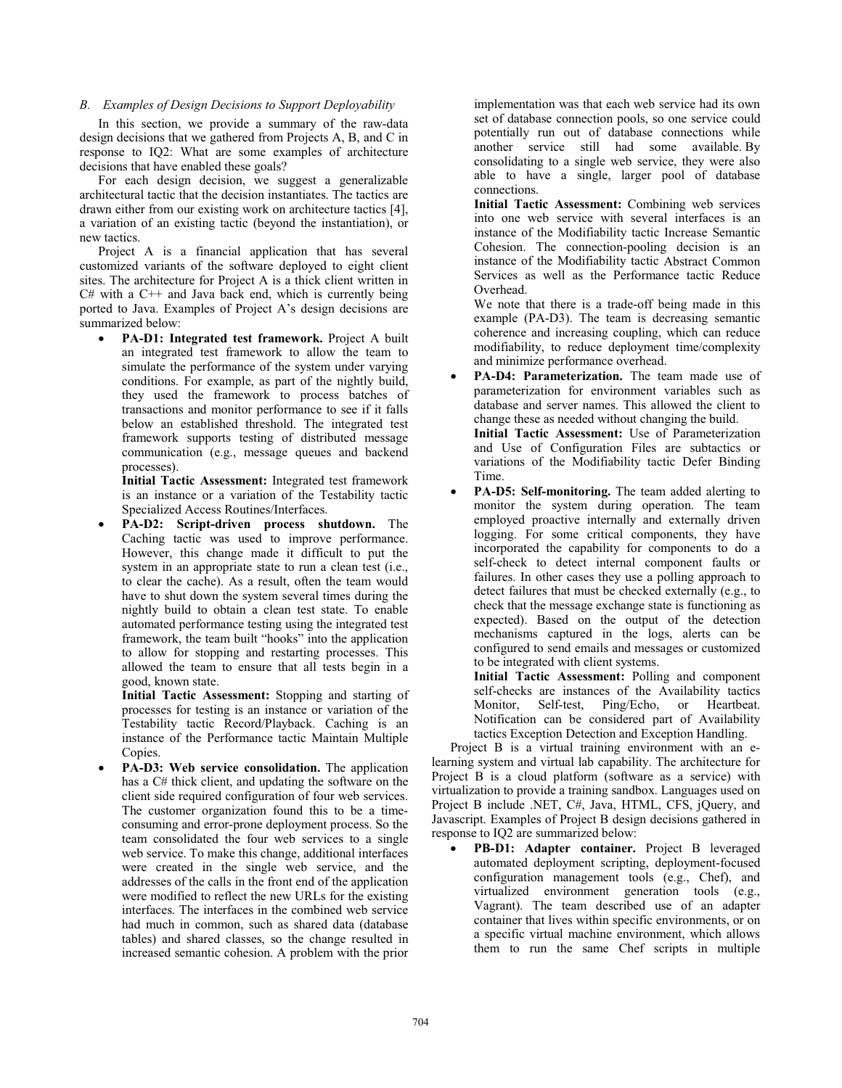# *B. Examples of Design Decisions to Support Deployability*

In this section, we provide a summary of the raw-data design decisions that we gathered from Projects A, B, and C in response to IQ2: What are some examples of architecture decisions that have enabled these goals?

For each design decision, we suggest a generalizable architectural tactic that the decision instantiates. The tactics are drawn either from our existing work on architecture tactics [4], a variation of an existing tactic (beyond the instantiation), or new tactics.

Project A is a financial application that has several customized variants of the software deployed to eight client sites. The architecture for Project A is a thick client written in  $C#$  with a  $C++$  and Java back end, which is currently being ported to Java. Examples of Project A's design decisions are summarized below:

- **PA-D1: Integrated test framework.** Project A built an integrated test framework to allow the team to simulate the performance of the system under varying conditions. For example, as part of the nightly build, they used the framework to process batches of transactions and monitor performance to see if it falls below an established threshold. The integrated test framework supports testing of distributed message communication (e.g., message queues and backend processes).

**Initial Tactic Assessment:** Integrated test framework is an instance or a variation of the Testability tactic Specialized Access Routines/Interfaces.

- **PA-D2: Script-driven process shutdown.** The Caching tactic was used to improve performance. However, this change made it difficult to put the system in an appropriate state to run a clean test (i.e., to clear the cache). As a result, often the team would have to shut down the system several times during the nightly build to obtain a clean test state. To enable automated performance testing using the integrated test framework, the team built "hooks" into the application to allow for stopping and restarting processes. This allowed the team to ensure that all tests begin in a good, known state.

**Initial Tactic Assessment:** Stopping and starting of processes for testing is an instance or variation of the Testability tactic Record/Playback. Caching is an instance of the Performance tactic Maintain Multiple Copies.

- **PA-D3: Web service consolidation.** The application has a C# thick client, and updating the software on the client side required configuration of four web services. The customer organization found this to be a timeconsuming and error-prone deployment process. So the team consolidated the four web services to a single web service. To make this change, additional interfaces were created in the single web service, and the addresses of the calls in the front end of the application were modified to reflect the new URLs for the existing interfaces. The interfaces in the combined web service had much in common, such as shared data (database tables) and shared classes, so the change resulted in increased semantic cohesion. A problem with the prior

implementation was that each web service had its own set of database connection pools, so one service could potentially run out of database connections while another service still had some available. By consolidating to a single web service, they were also able to have a single, larger pool of database connections.

**Initial Tactic Assessment:** Combining web services into one web service with several interfaces is an instance of the Modifiability tactic Increase Semantic Cohesion. The connection-pooling decision is an instance of the Modifiability tactic Abstract Common Services as well as the Performance tactic Reduce Overhead.

We note that there is a trade-off being made in this example (PA-D3). The team is decreasing semantic coherence and increasing coupling, which can reduce modifiability, to reduce deployment time/complexity and minimize performance overhead.

- -PA-D4: Parameterization. The team made use of parameterization for environment variables such as database and server names. This allowed the client to change these as needed without changing the build. **Initial Tactic Assessment:** Use of Parameterization and Use of Configuration Files are subtactics or variations of the Modifiability tactic Defer Binding Time.
- - **PA-D5: Self-monitoring.** The team added alerting to monitor the system during operation. The team employed proactive internally and externally driven logging. For some critical components, they have incorporated the capability for components to do a self-check to detect internal component faults or failures. In other cases they use a polling approach to detect failures that must be checked externally (e.g., to check that the message exchange state is functioning as expected). Based on the output of the detection mechanisms captured in the logs, alerts can be configured to send emails and messages or customized to be integrated with client systems.

**Initial Tactic Assessment:** Polling and component self-checks are instances of the Availability tactics<br>Monitor, Self-test, Ping/Echo, or Heartbeat. Monitor, Self-test, Ping/Echo, Notification can be considered part of Availability tactics Exception Detection and Exception Handling.

Project B is a virtual training environment with an elearning system and virtual lab capability. The architecture for Project B is a cloud platform (software as a service) with virtualization to provide a training sandbox. Languages used on Project B include .NET, C#, Java, HTML, CFS, jQuery, and Javascript. Examples of Project B design decisions gathered in response to IQ2 are summarized below:

-**PB-D1:** Adapter container. Project B leveraged automated deployment scripting, deployment-focused configuration management tools (e.g., Chef), and virtualized environment generation tools (e.g., Vagrant). The team described use of an adapter container that lives within specific environments, or on a specific virtual machine environment, which allows them to run the same Chef scripts in multiple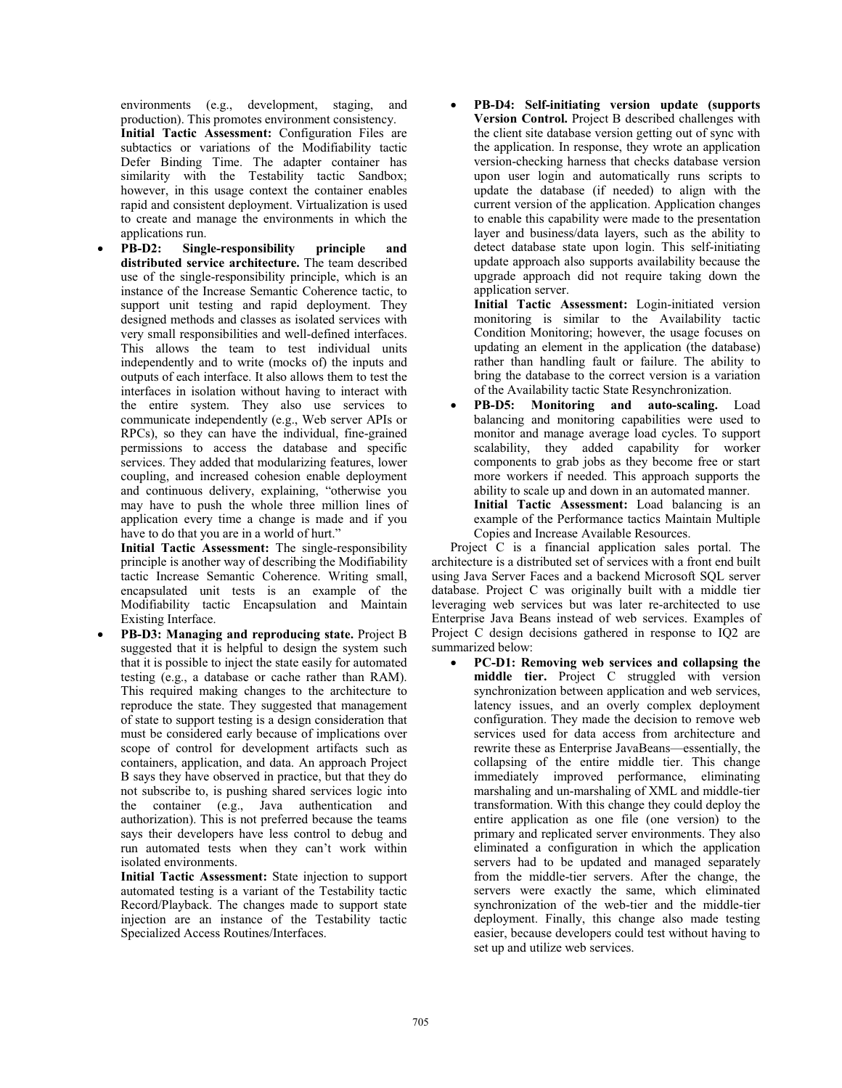environments (e.g., development, staging, and production). This promotes environment consistency.

**Initial Tactic Assessment:** Configuration Files are subtactics or variations of the Modifiability tactic Defer Binding Time. The adapter container has similarity with the Testability tactic Sandbox; however, in this usage context the container enables rapid and consistent deployment. Virtualization is used to create and manage the environments in which the applications run.

- **PB-D2: Single-responsibility principle and distributed service architecture.** The team described use of the single-responsibility principle, which is an instance of the Increase Semantic Coherence tactic, to support unit testing and rapid deployment. They designed methods and classes as isolated services with very small responsibilities and well-defined interfaces. This allows the team to test individual units independently and to write (mocks of) the inputs and outputs of each interface. It also allows them to test the interfaces in isolation without having to interact with the entire system. They also use services to communicate independently (e.g., Web server APIs or RPCs), so they can have the individual, fine-grained permissions to access the database and specific services. They added that modularizing features, lower coupling, and increased cohesion enable deployment and continuous delivery, explaining, "otherwise you may have to push the whole three million lines of application every time a change is made and if you have to do that you are in a world of hurt."

**Initial Tactic Assessment:** The single-responsibility principle is another way of describing the Modifiability tactic Increase Semantic Coherence. Writing small, encapsulated unit tests is an example of the Modifiability tactic Encapsulation and Maintain Existing Interface.

- **PB-D3: Managing and reproducing state.** Project B suggested that it is helpful to design the system such that it is possible to inject the state easily for automated testing (e.g., a database or cache rather than RAM). This required making changes to the architecture to reproduce the state. They suggested that management of state to support testing is a design consideration that must be considered early because of implications over scope of control for development artifacts such as containers, application, and data. An approach Project B says they have observed in practice, but that they do not subscribe to, is pushing shared services logic into the container (e.g., Java authentication and authorization). This is not preferred because the teams says their developers have less control to debug and run automated tests when they can't work within isolated environments.

**Initial Tactic Assessment:** State injection to support automated testing is a variant of the Testability tactic Record/Playback. The changes made to support state injection are an instance of the Testability tactic Specialized Access Routines/Interfaces.

- **PB-D4: Self-initiating version update (supports Version Control.** Project B described challenges with the client site database version getting out of sync with the application. In response, they wrote an application version-checking harness that checks database version upon user login and automatically runs scripts to update the database (if needed) to align with the current version of the application. Application changes to enable this capability were made to the presentation layer and business/data layers, such as the ability to detect database state upon login. This self-initiating update approach also supports availability because the upgrade approach did not require taking down the application server.

**Initial Tactic Assessment:** Login-initiated version monitoring is similar to the Availability tactic Condition Monitoring; however, the usage focuses on updating an element in the application (the database) rather than handling fault or failure. The ability to bring the database to the correct version is a variation of the Availability tactic State Resynchronization.

- **PB-D5: Monitoring and auto-scaling.** Load balancing and monitoring capabilities were used to monitor and manage average load cycles. To support scalability, they added capability for worker components to grab jobs as they become free or start more workers if needed. This approach supports the ability to scale up and down in an automated manner.

**Initial Tactic Assessment:** Load balancing is an example of the Performance tactics Maintain Multiple Copies and Increase Available Resources.

Project C is a financial application sales portal. The architecture is a distributed set of services with a front end built using Java Server Faces and a backend Microsoft SQL server database. Project C was originally built with a middle tier leveraging web services but was later re-architected to use Enterprise Java Beans instead of web services. Examples of Project C design decisions gathered in response to IQ2 are summarized below:

- **PC-D1: Removing web services and collapsing the middle tier.** Project C struggled with version synchronization between application and web services, latency issues, and an overly complex deployment configuration. They made the decision to remove web services used for data access from architecture and rewrite these as Enterprise JavaBeans—essentially, the collapsing of the entire middle tier. This change immediately improved performance, eliminating marshaling and un-marshaling of XML and middle-tier transformation. With this change they could deploy the entire application as one file (one version) to the primary and replicated server environments. They also eliminated a configuration in which the application servers had to be updated and managed separately from the middle-tier servers. After the change, the servers were exactly the same, which eliminated synchronization of the web-tier and the middle-tier deployment. Finally, this change also made testing easier, because developers could test without having to set up and utilize web services.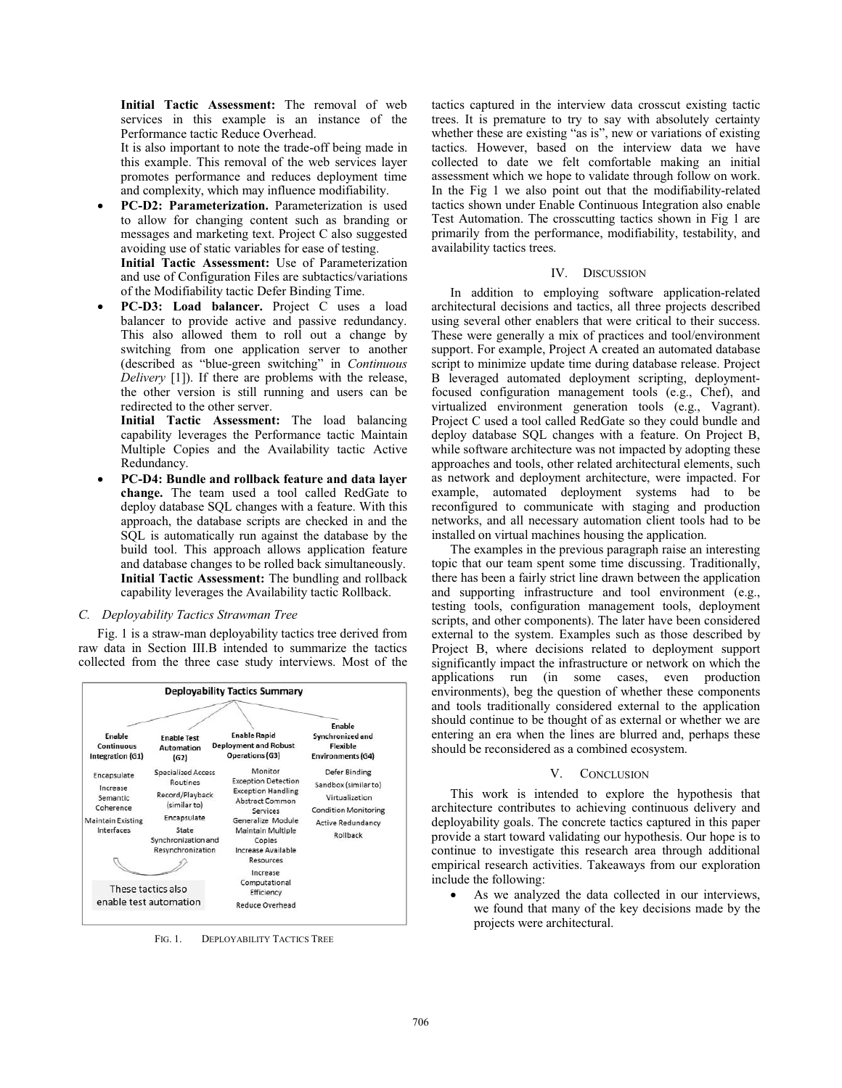**Initial Tactic Assessment:** The removal of web services in this example is an instance of the Performance tactic Reduce Overhead.

It is also important to note the trade-off being made in this example. This removal of the web services layer promotes performance and reduces deployment time and complexity, which may influence modifiability.

- -PC-D2: Parameterization. Parameterization is used to allow for changing content such as branding or messages and marketing text. Project C also suggested avoiding use of static variables for ease of testing. **Initial Tactic Assessment:** Use of Parameterization and use of Configuration Files are subtactics/variations of the Modifiability tactic Defer Binding Time.
- - **PC-D3: Load balancer.** Project C uses a load balancer to provide active and passive redundancy. This also allowed them to roll out a change by switching from one application server to another (described as "blue-green switching" in *Continuous Delivery* [1]). If there are problems with the release, the other version is still running and users can be redirected to the other server.

**Initial Tactic Assessment:** The load balancing capability leverages the Performance tactic Maintain Multiple Copies and the Availability tactic Active Redundancy.

- **PC-D4: Bundle and rollback feature and data layer change.** The team used a tool called RedGate to deploy database SQL changes with a feature. With this approach, the database scripts are checked in and the SQL is automatically run against the database by the build tool. This approach allows application feature and database changes to be rolled back simultaneously. **Initial Tactic Assessment:** The bundling and rollback capability leverages the Availability tactic Rollback.

#### *C. Deployability Tactics Strawman Tree*

Fig. 1 is a straw-man deployability tactics tree derived from raw data in Section III.B intended to summarize the tactics collected from the three case study interviews. Most of the



FIG. 1. DEPLOYABILITY TACTICS TREE

tactics captured in the interview data crosscut existing tactic trees. It is premature to try to say with absolutely certainty whether these are existing "as is", new or variations of existing tactics. However, based on the interview data we have collected to date we felt comfortable making an initial assessment which we hope to validate through follow on work. In the Fig 1 we also point out that the modifiability-related tactics shown under Enable Continuous Integration also enable Test Automation. The crosscutting tactics shown in Fig 1 are primarily from the performance, modifiability, testability, and availability tactics trees.

## IV. DISCUSSION

In addition to employing software application-related architectural decisions and tactics, all three projects described using several other enablers that were critical to their success. These were generally a mix of practices and tool/environment support. For example, Project A created an automated database script to minimize update time during database release. Project B leveraged automated deployment scripting, deploymentfocused configuration management tools (e.g., Chef), and virtualized environment generation tools (e.g., Vagrant). Project C used a tool called RedGate so they could bundle and deploy database SQL changes with a feature. On Project B, while software architecture was not impacted by adopting these approaches and tools, other related architectural elements, such as network and deployment architecture, were impacted. For example, automated deployment systems had to be reconfigured to communicate with staging and production networks, and all necessary automation client tools had to be installed on virtual machines housing the application.

The examples in the previous paragraph raise an interesting topic that our team spent some time discussing. Traditionally, there has been a fairly strict line drawn between the application and supporting infrastructure and tool environment (e.g., testing tools, configuration management tools, deployment scripts, and other components). The later have been considered external to the system. Examples such as those described by Project B, where decisions related to deployment support significantly impact the infrastructure or network on which the applications run (in some cases, even production environments), beg the question of whether these components and tools traditionally considered external to the application should continue to be thought of as external or whether we are entering an era when the lines are blurred and, perhaps these should be reconsidered as a combined ecosystem.

## V. CONCLUSION

This work is intended to explore the hypothesis that architecture contributes to achieving continuous delivery and deployability goals. The concrete tactics captured in this paper provide a start toward validating our hypothesis. Our hope is to continue to investigate this research area through additional empirical research activities. Takeaways from our exploration include the following:

 $\bullet$  As we analyzed the data collected in our interviews, we found that many of the key decisions made by the projects were architectural.